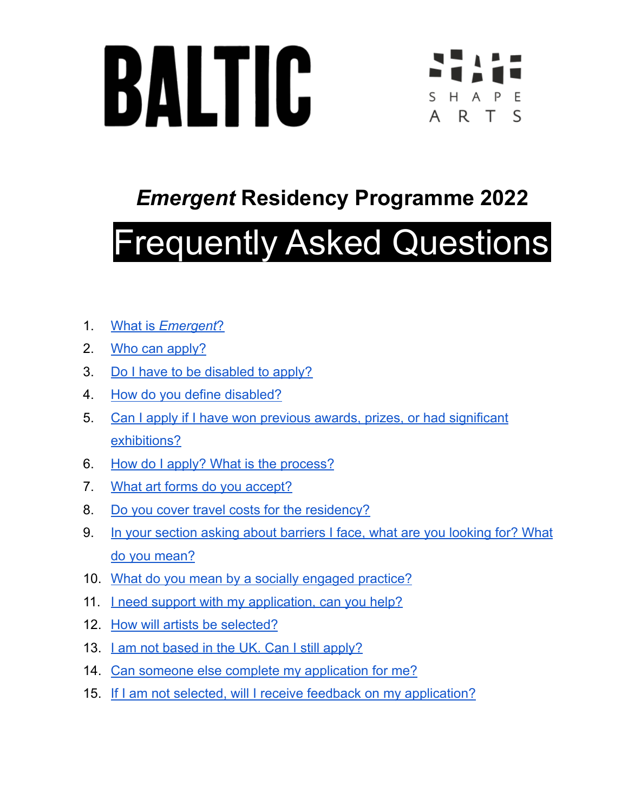



# *Emergent* **Residency Programme 2022**

# Frequently Asked Questions

- 1. What is *[Emergent](#page-1-0)*?
- 2. Who can [apply?](#page-2-0)
- 3. Do I have to be [disabled](#page-2-1) to apply?
- 4. How do you define [disabled?](#page-2-2)
- 5. Can I apply if I have won previous awards, prizes, or had [significant](#page-3-0) [exhibitions?](#page-3-0)
- 6. How do I apply? What is the [process?](#page-3-1)
- 7. What art forms do you [accept?](#page-4-0)
- 8. Do you cover travel costs for the [residency?](#page-4-1)
- 9. In your section asking about [barriers](#page-4-2) I face, what are you looking for? What do you [mean?](#page-4-2)
- 10. What do you mean by a socially engaged [practice?](#page-5-0)
- 11. <u>I need support with my [application,](#page-6-0) can you help?</u>
- 12. How will artists be [selected?](#page-6-1)
- 13. Lam not based in the UK. Can I still [apply?](#page-6-2)
- 14. Can someone else complete my [application](#page-6-3) for me?
- 15. If I am not selected, will I receive feedback on my [application?](#page-7-0)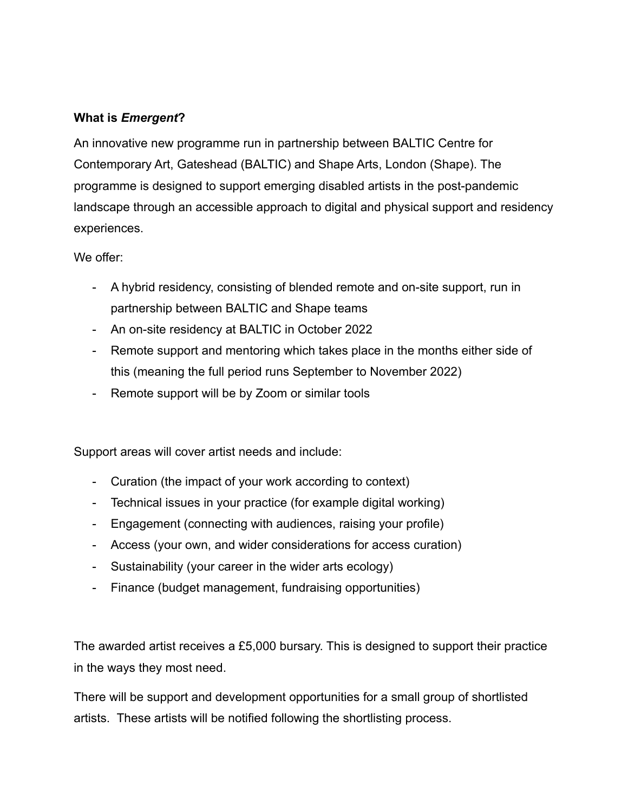#### <span id="page-1-0"></span>**What is** *Emergent***?**

An innovative new programme run in partnership between BALTIC Centre for Contemporary Art, Gateshead (BALTIC) and Shape Arts, London (Shape). The programme is designed to support emerging disabled artists in the post-pandemic landscape through an accessible approach to digital and physical support and residency experiences.

We offer:

- A hybrid residency, consisting of blended remote and on-site support, run in partnership between BALTIC and Shape teams
- An on-site residency at BALTIC in October 2022
- Remote support and mentoring which takes place in the months either side of this (meaning the full period runs September to November 2022)
- Remote support will be by Zoom or similar tools

Support areas will cover artist needs and include:

- Curation (the impact of your work according to context)
- Technical issues in your practice (for example digital working)
- Engagement (connecting with audiences, raising your profile)
- Access (your own, and wider considerations for access curation)
- Sustainability (your career in the wider arts ecology)
- Finance (budget management, fundraising opportunities)

The awarded artist receives a £5,000 bursary. This is designed to support their practice in the ways they most need.

There will be support and development opportunities for a small group of shortlisted artists. These artists will be notified following the shortlisting process.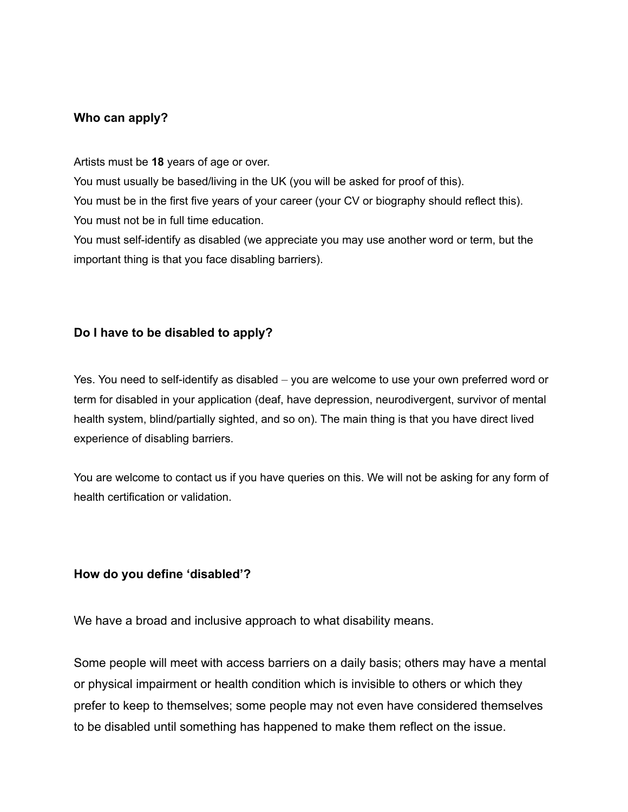#### <span id="page-2-0"></span>**Who can apply?**

Artists must be **18** years of age or over.

You must usually be based/living in the UK (you will be asked for proof of this).

You must be in the first five years of your career (your CV or biography should reflect this). You must not be in full time education.

You must self-identify as disabled (we appreciate you may use another word or term, but the important thing is that you face disabling barriers).

#### <span id="page-2-1"></span>**Do I have to be disabled to apply?**

Yes. You need to self-identify as disabled – you are welcome to use your own preferred word or term for disabled in your application (deaf, have depression, neurodivergent, survivor of mental health system, blind/partially sighted, and so on). The main thing is that you have direct lived experience of disabling barriers.

You are welcome to contact us if you have queries on this. We will not be asking for any form of health certification or validation.

#### <span id="page-2-2"></span>**How do you define 'disabled'?**

We have a broad and inclusive approach to what disability means.

Some people will meet with access barriers on a daily basis; others may have a mental or physical impairment or health condition which is invisible to others or which they prefer to keep to themselves; some people may not even have considered themselves to be disabled until something has happened to make them reflect on the issue.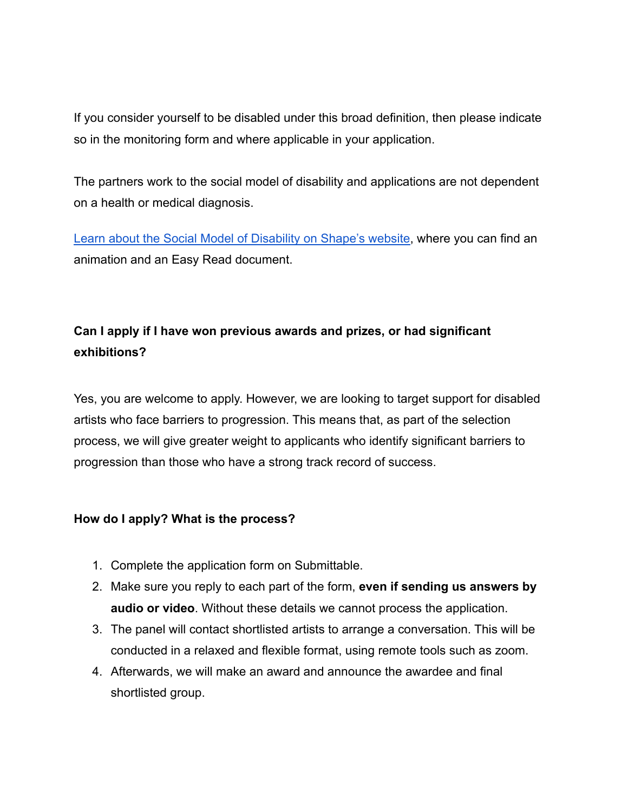If you consider yourself to be disabled under this broad definition, then please indicate so in the monitoring form and where applicable in your application.

The partners work to the social model of disability and applications are not dependent on a health or medical diagnosis.

[Learn about the Social Model of Disability on Shape's website,](https://www.shapearts.org.uk/News/social-model-of-disability) where you can find an animation and an Easy Read document.

## **Can I apply if I have won previous awards and prizes, or had significant exhibitions?**

<span id="page-3-0"></span>Yes, you are welcome to apply. However, we are looking to target support for disabled artists who face barriers to progression. This means that, as part of the selection process, we will give greater weight to applicants who identify significant barriers to progression than those who have a strong track record of success.

#### <span id="page-3-1"></span>**How do I apply? What is the process?**

- 1. Complete the application form on Submittable.
- 2. Make sure you reply to each part of the form, **even if sending us answers by audio or video**. Without these details we cannot process the application.
- 3. The panel will contact shortlisted artists to arrange a conversation. This will be conducted in a relaxed and flexible format, using remote tools such as zoom.
- 4. Afterwards, we will make an award and announce the awardee and final shortlisted group.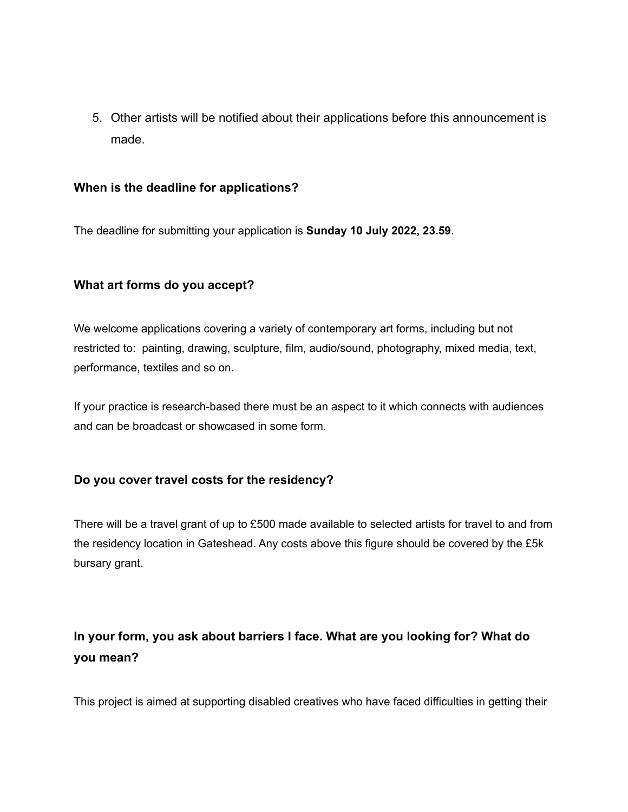5. Other artists will be notified about their applications before this announcement is made.

#### **When is the deadline for applications?**

The deadline for submitting your application is **Sunday 10 July 2022, 23.59**.

#### <span id="page-4-0"></span>**What art forms do you accept?**

We welcome applications covering a variety of contemporary art forms, including but not restricted to: painting, drawing, sculpture, film, audio/sound, photography, mixed media, text, performance, textiles and so on.

If your practice is research-based there must be an aspect to it which connects with audiences and can be broadcast or showcased in some form.

#### <span id="page-4-1"></span>**Do you cover travel costs for the residency?**

There will be a travel grant of up to £500 made available to selected artists for travel to and from the residency location in Gateshead. Any costs above this figure should be covered by the £5k bursary grant.

## <span id="page-4-2"></span>**In your form, you ask about barriers I face. What are you looking for? What do you mean?**

This project is aimed at supporting disabled creatives who have faced difficulties in getting their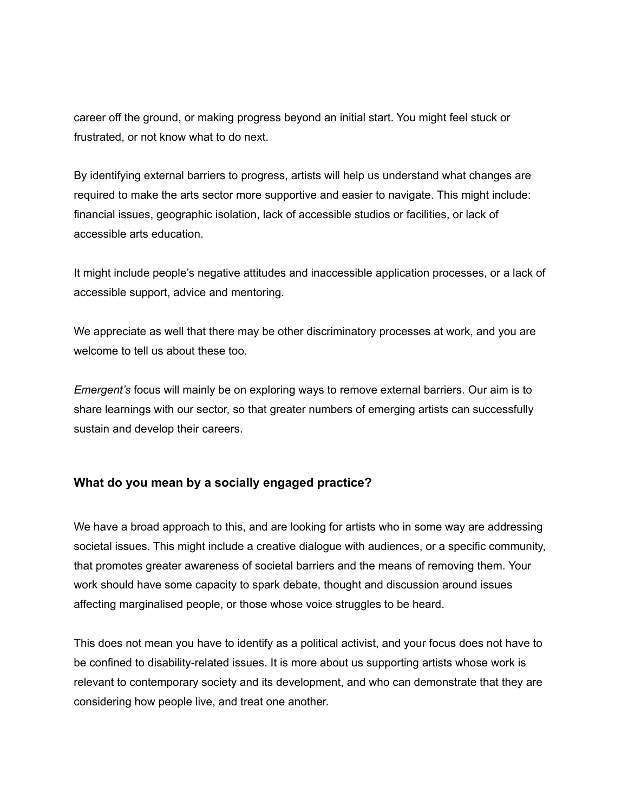career off the ground, or making progress beyond an initial start. You might feel stuck or frustrated, or not know what to do next.

By identifying external barriers to progress, artists will help us understand what changes are required to make the arts sector more supportive and easier to navigate. This might include: financial issues, geographic isolation, lack of accessible studios or facilities, or lack of accessible arts education.

It might include people's negative attitudes and inaccessible application processes, or a lack of accessible support, advice and mentoring.

We appreciate as well that there may be other discriminatory processes at work, and you are welcome to tell us about these too.

*Emergent's* focus will mainly be on exploring ways to remove external barriers. Our aim is to share learnings with our sector, so that greater numbers of emerging artists can successfully sustain and develop their careers.

#### <span id="page-5-0"></span>**What do you mean by a socially engaged practice?**

We have a broad approach to this, and are looking for artists who in some way are addressing societal issues. This might include a creative dialogue with audiences, or a specific community, that promotes greater awareness of societal barriers and the means of removing them. Your work should have some capacity to spark debate, thought and discussion around issues affecting marginalised people, or those whose voice struggles to be heard.

This does not mean you have to identify as a political activist, and your focus does not have to be confined to disability-related issues. It is more about us supporting artists whose work is relevant to contemporary society and its development, and who can demonstrate that they are considering how people live, and treat one another.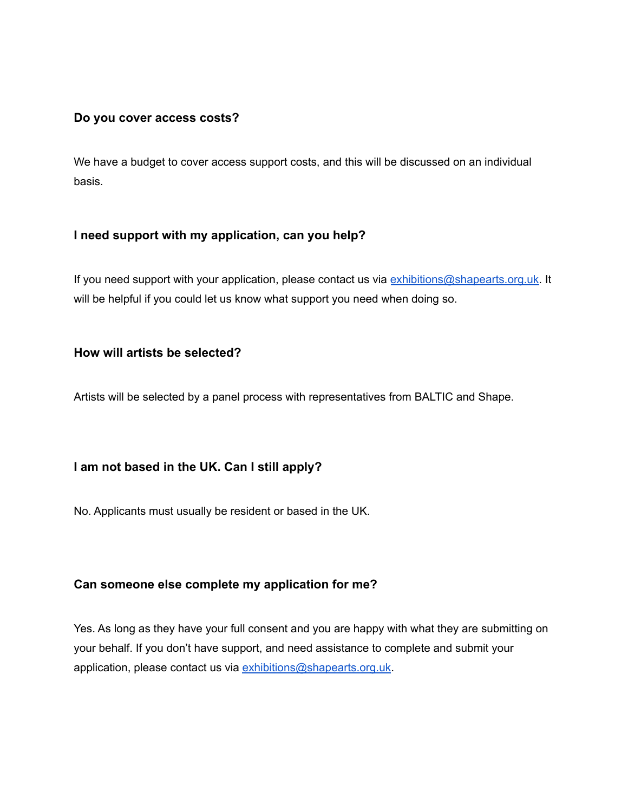#### **Do you cover access costs?**

We have a budget to cover access support costs, and this will be discussed on an individual basis.

#### <span id="page-6-0"></span>**I need support with my application, can you help?**

If you need support with your application, please contact us via [exhibitions@shapearts.org.uk.](mailto:exhibitions@shapearts.org.uk) It will be helpful if you could let us know what support you need when doing so.

#### <span id="page-6-1"></span>**How will artists be selected?**

Artists will be selected by a panel process with representatives from BALTIC and Shape.

#### <span id="page-6-2"></span>**I am not based in the UK. Can I still apply?**

No. Applicants must usually be resident or based in the UK.

#### <span id="page-6-3"></span>**Can someone else complete my application for me?**

Yes. As long as they have your full consent and you are happy with what they are submitting on your behalf. If you don't have support, and need assistance to complete and submit your application, please contact us via [exhibitions@shapearts.org.uk](mailto:exhibitions@shapearts.org.uk).